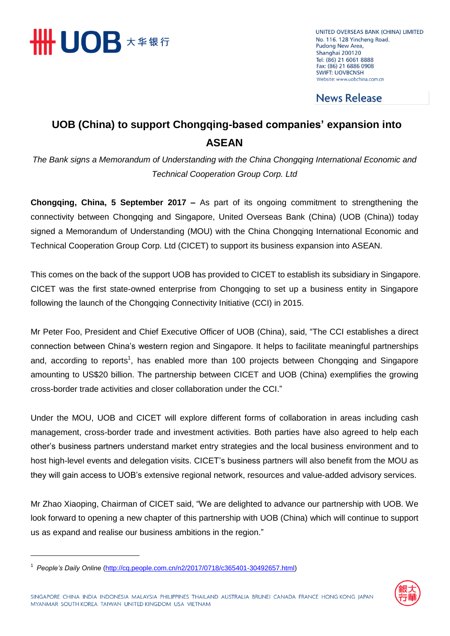

UNITED OVERSEAS BANK (CHINA) LIMITED No. 116, 128 Yincheng Road, Pudong New Area, Shanghai 200120 Tel: (86) 21 6061 8888 Fax: (86) 21 6886 0908 **SWIFT: UOVBCNSH** Website: www.uobchina.com.cn

## **News Release**

## **UOB (China) to support Chongqing-based companies' expansion into ASEAN**

*The Bank signs a Memorandum of Understanding with the China Chongqing International Economic and Technical Cooperation Group Corp. Ltd*

**Chongqing, China, 5 September 2017 –** As part of its ongoing commitment to strengthening the connectivity between Chongqing and Singapore, United Overseas Bank (China) (UOB (China)) today signed a Memorandum of Understanding (MOU) with the China Chongqing International Economic and Technical Cooperation Group Corp. Ltd (CICET) to support its business expansion into ASEAN.

This comes on the back of the support UOB has provided to CICET to establish its subsidiary in Singapore. CICET was the first state-owned enterprise from Chongqing to set up a business entity in Singapore following the launch of the Chongqing Connectivity Initiative (CCI) in 2015.

Mr Peter Foo, President and Chief Executive Officer of UOB (China), said, "The CCI establishes a direct connection between China's western region and Singapore. It helps to facilitate meaningful partnerships and, according to reports<sup>1</sup>, has enabled more than 100 projects between Chongqing and Singapore amounting to US\$20 billion. The partnership between CICET and UOB (China) exemplifies the growing cross-border trade activities and closer collaboration under the CCI."

Under the MOU, UOB and CICET will explore different forms of collaboration in areas including cash management, cross-border trade and investment activities. Both parties have also agreed to help each other's business partners understand market entry strategies and the local business environment and to host high-level events and delegation visits. CICET's business partners will also benefit from the MOU as they will gain access to UOB's extensive regional network, resources and value-added advisory services.

Mr Zhao Xiaoping, Chairman of CICET said, "We are delighted to advance our partnership with UOB. We look forward to opening a new chapter of this partnership with UOB (China) which will continue to support us as expand and realise our business ambitions in the region."



<sup>1</sup> *People's Daily Online* [\(http://cq.people.com.cn/n2/2017/0718/c365401-30492657.html\)](http://cq.people.com.cn/n2/2017/0718/c365401-30492657.html)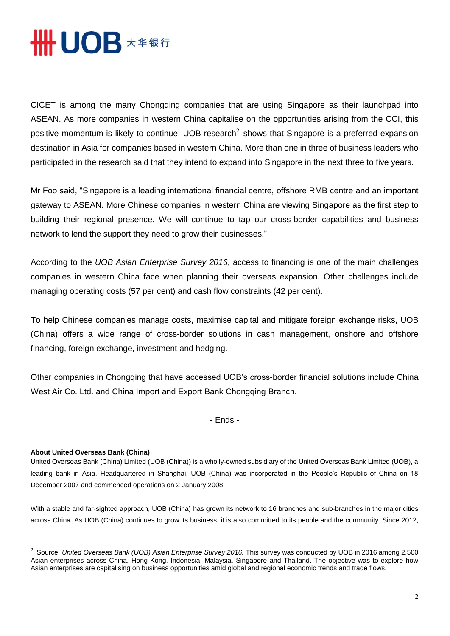

CICET is among the many Chongqing companies that are using Singapore as their launchpad into ASEAN. As more companies in western China capitalise on the opportunities arising from the CCI, this positive momentum is likely to continue. UOB research<sup>2</sup> shows that Singapore is a preferred expansion destination in Asia for companies based in western China. More than one in three of business leaders who participated in the research said that they intend to expand into Singapore in the next three to five years.

Mr Foo said, "Singapore is a leading international financial centre, offshore RMB centre and an important gateway to ASEAN. More Chinese companies in western China are viewing Singapore as the first step to building their regional presence. We will continue to tap our cross-border capabilities and business network to lend the support they need to grow their businesses."

According to the *UOB Asian Enterprise Survey 2016*, access to financing is one of the main challenges companies in western China face when planning their overseas expansion. Other challenges include managing operating costs (57 per cent) and cash flow constraints (42 per cent).

To help Chinese companies manage costs, maximise capital and mitigate foreign exchange risks, UOB (China) offers a wide range of cross-border solutions in cash management, onshore and offshore financing, foreign exchange, investment and hedging.

Other companies in Chongqing that have accessed UOB's cross-border financial solutions include China West Air Co. Ltd. and China Import and Export Bank Chongqing Branch.

- Ends -

## **About United Overseas Bank (China)**

United Overseas Bank (China) Limited (UOB (China)) is a wholly-owned subsidiary of the United Overseas Bank Limited (UOB), a leading bank in Asia. Headquartered in Shanghai, UOB (China) was incorporated in the People's Republic of China on 18 December 2007 and commenced operations on 2 January 2008.

With a stable and far-sighted approach, UOB (China) has grown its network to 16 branches and sub-branches in the major cities across China. As UOB (China) continues to grow its business, it is also committed to its people and the community. Since 2012,

<sup>2</sup> Source: *United Overseas Bank (UOB) Asian Enterprise Survey 2016.* This survey was conducted by UOB in 2016 among 2,500 Asian enterprises across China, Hong Kong, Indonesia, Malaysia, Singapore and Thailand. The objective was to explore how Asian enterprises are capitalising on business opportunities amid global and regional economic trends and trade flows.